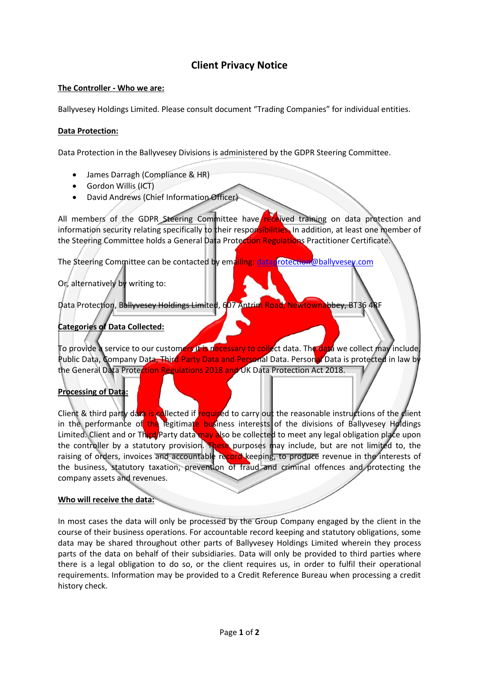# **Client Privacy Notice**

### **The Controller - Who we are:**

Ballyvesey Holdings Limited. Please consult document "Trading Companies" for individual entities.

### **Data Protection:**

Data Protection in the Ballyvesey Divisions is administered by the GDPR Steering Committee.

- James Darragh (Compliance & HR)
- $\bullet$  Gordon Willis  $(HCT)$
- David Andrews (Chief Information Officer)

All members of the GDPR Steering Committee have received training on data protection and information security relating specifically to their responsibilities. In addition, at least one member of the Steering Committee holds a General Data Protection Regulations Practitioner Certificate.

The Steering Committee can be contacted by emailing: [dataprotection@ballyvesey.com](mailto:dataprotection@ballyvesey.com)

# Or, alternatively by writing to:

Data Protection, Ballyvesey Holdings Limited, 607 Antrim Road, Newtownabbey, BT36 4RF

## **Categories of Data Collected:**

To provide a service to our customers it is necessary to collect data. The data we collect may include, Public Data, Company Data, Third Party Data and Personal Data. Personal Data is protected in law by the General Data Protection Regulations 2018 and UK Data Protection Act 2018.

## **Processing of Data:**

Client & third party data is collected if required to carry out the reasonable instructions of the client in the performance of the legitimate business interests of the divisions of Ballyvesey Holdings Limited. Client and or Third Party data may also be collected to meet any legal obligation place upon the controller by a statutory provision. These purposes may include, but are not limited to, the raising of orders, invoices and accountable record keeping, to produce revenue in the interests of the business, statutory taxation, prevention of fraud and criminal offences and protecting the company assets and revenues.

#### **Who will receive the data:**

In most cases the data will only be processed by the Group Company engaged by the client in the course of their business operations. For accountable record keeping and statutory obligations, some data may be shared throughout other parts of Ballyvesey Holdings Limited wherein they process parts of the data on behalf of their subsidiaries. Data will only be provided to third parties where there is a legal obligation to do so, or the client requires us, in order to fulfil their operational requirements. Information may be provided to a Credit Reference Bureau when processing a credit history check.